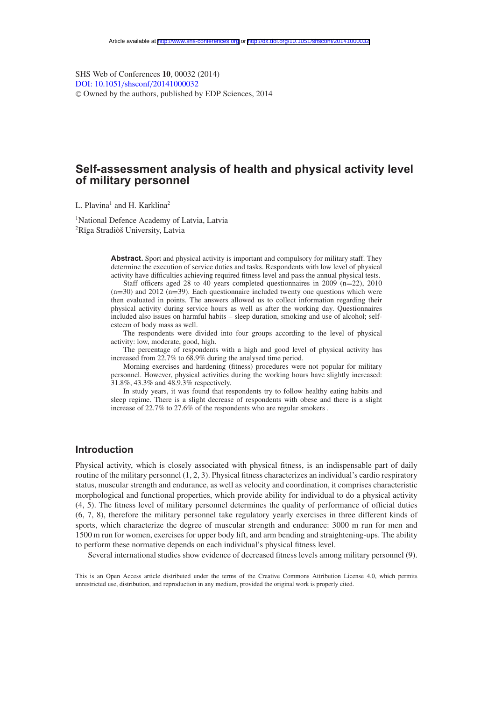SHS Web of Conferences **10**, 00032 (2014) [DOI: 10.1051](http://dx.doi.org/10.1051/shsconf/20141000032)/shsconf/20141000032 <sup>C</sup> Owned by the authors, published by EDP Sciences, 2014

# **Self-assessment analysis of health and physical activity level of military personnel**

L. Plavina<sup>1</sup> and H. Karklina<sup>2</sup>

1 National Defence Academy of Latvia, Latvia <sup>2</sup>Rīga Stradiòš University, Latvia

> **Abstract.** Sport and physical activity is important and compulsory for military staff. They determine the execution of service duties and tasks. Respondents with low level of physical activity have difficulties achieving required fitness level and pass the annual physical tests.

> Staff officers aged 28 to 40 years completed questionnaires in 2009 (n=22), 2010  $(n=30)$  and 2012  $(n=39)$ . Each questionnaire included twenty one questions which were then evaluated in points. The answers allowed us to collect information regarding their physical activity during service hours as well as after the working day. Questionnaires included also issues on harmful habits – sleep duration, smoking and use of alcohol; selfesteem of body mass as well.

> The respondents were divided into four groups according to the level of physical activity: low, moderate, good, high.

> The percentage of respondents with a high and good level of physical activity has increased from 22.7% to 68.9% during the analysed time period.

> Morning exercises and hardening (fitness) procedures were not popular for military personnel. However, physical activities during the working hours have slightly increased: 31.8%, 43.3% and 48.9.3% respectively.

> In study years, it was found that respondents try to follow healthy eating habits and sleep regime. There is a slight decrease of respondents with obese and there is a slight increase of 22.7% to 27.6% of the respondents who are regular smokers .

## **Introduction**

Physical activity, which is closely associated with physical fitness, is an indispensable part of daily routine of the military personnel (1, 2, 3). Physical fitness characterizes an individual's cardio respiratory status, muscular strength and endurance, as well as velocity and coordination, it comprises characteristic morphological and functional properties, which provide ability for individual to do a physical activity (4, 5). The fitness level of military personnel determines the quality of performance of official duties (6, 7, 8), therefore the military personnel take regulatory yearly exercises in three different kinds of sports, which characterize the degree of muscular strength and endurance: 3000 m run for men and 1500 m run for women, exercises for upper body lift, and arm bending and straightening-ups. The ability to perform these normative depends on each individual's physical fitness level.

Several international studies show evidence of decreased fitness levels among military personnel (9).

This is an Open Access article distributed under the terms of the Creative Commons Attribution License 4.0, which permits unrestricted use, distribution, and reproduction in any medium, provided the original work is properly cited.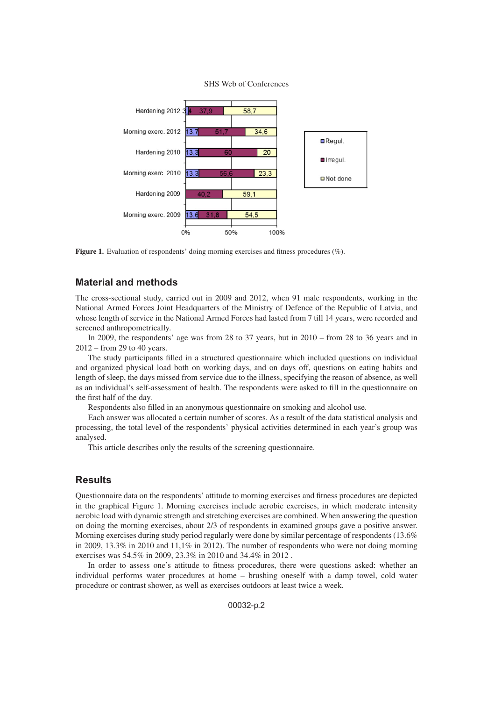



Figure 1. Evaluation of respondents' doing morning exercises and fitness procedures (%).

## **Material and methods**

The cross-sectional study, carried out in 2009 and 2012, when 91 male respondents, working in the National Armed Forces Joint Headquarters of the Ministry of Defence of the Republic of Latvia, and whose length of service in the National Armed Forces had lasted from 7 till 14 years, were recorded and screened anthropometrically.

In 2009, the respondents' age was from 28 to 37 years, but in 2010 – from 28 to 36 years and in 2012 – from 29 to 40 years.

The study participants filled in a structured questionnaire which included questions on individual and organized physical load both on working days, and on days off, questions on eating habits and length of sleep, the days missed from service due to the illness, specifying the reason of absence, as well as an individual's self-assessment of health. The respondents were asked to fill in the questionnaire on the first half of the day.

Respondents also filled in an anonymous questionnaire on smoking and alcohol use.

Each answer was allocated a certain number of scores. As a result of the data statistical analysis and processing, the total level of the respondents' physical activities determined in each year's group was analysed.

This article describes only the results of the screening questionnaire.

## **Results**

Questionnaire data on the respondents' attitude to morning exercises and fitness procedures are depicted in the graphical Figure 1. Morning exercises include aerobic exercises, in which moderate intensity aerobic load with dynamic strength and stretching exercises are combined. When answering the question on doing the morning exercises, about 2/3 of respondents in examined groups gave a positive answer. Morning exercises during study period regularly were done by similar percentage of respondents (13.6% in 2009, 13.3% in 2010 and 11,1% in 2012). The number of respondents who were not doing morning exercises was 54.5% in 2009, 23.3% in 2010 and 34.4% in 2012 .

In order to assess one's attitude to fitness procedures, there were questions asked: whether an individual performs water procedures at home – brushing oneself with a damp towel, cold water procedure or contrast shower, as well as exercises outdoors at least twice a week.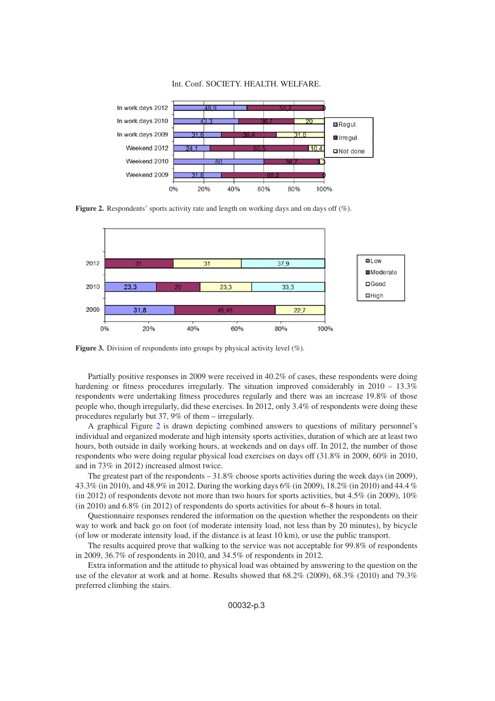#### Int. Conf. SOCIETY. HEALTH. WELFARE.

<span id="page-2-0"></span>

**Figure 2.** Respondents' sports activity rate and length on working days and on days off (%).

<span id="page-2-1"></span>

**Figure 3.** Division of respondents into groups by physical activity level  $(\%)$ .

Partially positive responses in 2009 were received in 40.2% of cases, these respondents were doing hardening or fitness procedures irregularly. The situation improved considerably in 2010 – 13.3% respondents were undertaking fitness procedures regularly and there was an increase 19.8% of those people who, though irregularly, did these exercises. In 2012, only 3.4% of respondents were doing these procedures regularly but 37, 9% of them – irregularly.

A graphical Figure [2](#page-2-0) is drawn depicting combined answers to questions of military personnel's individual and organized moderate and high intensity sports activities, duration of which are at least two hours, both outside in daily working hours, at weekends and on days off. In 2012, the number of those respondents who were doing regular physical load exercises on days off (31.8% in 2009, 60% in 2010, and in 73% in 2012) increased almost twice.

The greatest part of the respondents – 31.8% choose sports activities during the week days (in 2009), 43.3% (in 2010), and 48.9% in 2012. During the working days 6% (in 2009), 18.2% (in 2010) and 44.4 % (in 2012) of respondents devote not more than two hours for sports activities, but 4.5% (in 2009), 10% (in 2010) and 6.8% (in 2012) of respondents do sports activities for about 6–8 hours in total.

Questionnaire responses rendered the information on the question whether the respondents on their way to work and back go on foot (of moderate intensity load, not less than by 20 minutes), by bicycle (of low or moderate intensity load, if the distance is at least 10 km), or use the public transport.

The results acquired prove that walking to the service was not acceptable for 99.8% of respondents in 2009, 36.7% of respondents in 2010, and 34.5% of respondents in 2012.

Extra information and the attitude to physical load was obtained by answering to the question on the use of the elevator at work and at home. Results showed that 68.2% (2009), 68.3% (2010) and 79.3% preferred climbing the stairs.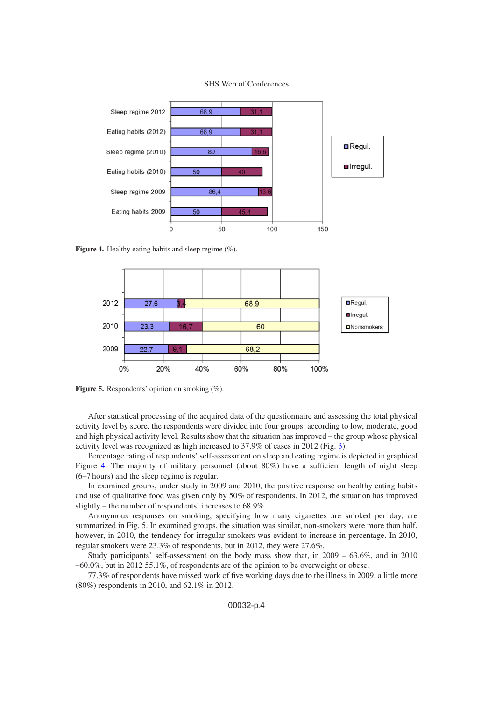SHS Web of Conferences

<span id="page-3-0"></span>

Figure 4. Healthy eating habits and sleep regime (%).



Figure 5. Respondents' opinion on smoking  $(\%)$ .

After statistical processing of the acquired data of the questionnaire and assessing the total physical activity level by score, the respondents were divided into four groups: according to low, moderate, good and high physical activity level. Results show that the situation has improved – the group whose physical activity level was recognized as high increased to 37.9% of cases in 2012 (Fig. [3\)](#page-2-1).

Percentage rating of respondents' self-assessment on sleep and eating regime is depicted in graphical Figure [4.](#page-3-0) The majority of military personnel (about 80%) have a sufficient length of night sleep (6–7 hours) and the sleep regime is regular.

In examined groups, under study in 2009 and 2010, the positive response on healthy eating habits and use of qualitative food was given only by 50% of respondents. In 2012, the situation has improved slightly – the number of respondents' increases to 68.9%

Anonymous responses on smoking, specifying how many cigarettes are smoked per day, are summarized in Fig. 5. In examined groups, the situation was similar, non-smokers were more than half, however, in 2010, the tendency for irregular smokers was evident to increase in percentage. In 2010, regular smokers were 23.3% of respondents, but in 2012, they were 27.6%.

Study participants' self-assessment on the body mass show that, in 2009 – 63.6%, and in 2010  $-60.0\%$ , but in 2012 55.1%, of respondents are of the opinion to be overweight or obese.

77.3% of respondents have missed work of five working days due to the illness in 2009, a little more (80%) respondents in 2010, and 62.1% in 2012.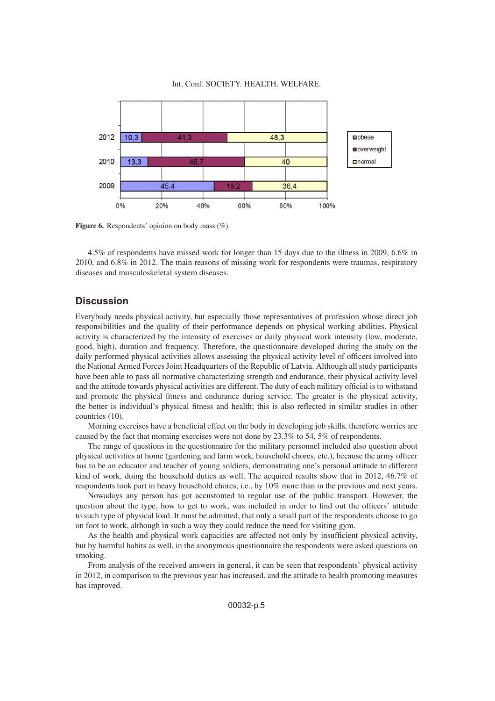#### Int. Conf. SOCIETY. HEALTH. WELFARE.



Figure 6. Respondents' opinion on body mass (%).

4.5% of respondents have missed work for longer than 15 days due to the illness in 2009, 6.6% in 2010, and 6.8% in 2012. The main reasons of missing work for respondents were traumas, respiratory diseases and musculoskeletal system diseases.

## **Discussion**

Everybody needs physical activity, but especially those representatives of profession whose direct job responsibilities and the quality of their performance depends on physical working abilities. Physical activity is characterized by the intensity of exercises or daily physical work intensity (low, moderate, good, high), duration and frequency. Therefore, the questionnaire developed during the study on the daily performed physical activities allows assessing the physical activity level of officers involved into the National Armed Forces Joint Headquarters of the Republic of Latvia. Although all study participants have been able to pass all normative characterizing strength and endurance, their physical activity level and the attitude towards physical activities are different. The duty of each military official is to withstand and promote the physical fitness and endurance during service. The greater is the physical activity, the better is individual's physical fitness and health; this is also reflected in similar studies in other countries (10).

Morning exercises have a beneficial effect on the body in developing job skills, therefore worries are caused by the fact that morning exercises were not done by 23.3% to 54, 5% of respondents.

The range of questions in the questionnaire for the military personnel included also question about physical activities at home (gardening and farm work, household chores, etc.), because the army officer has to be an educator and teacher of young soldiers, demonstrating one's personal attitude to different kind of work, doing the household duties as well. The acquired results show that in 2012, 46.7% of respondents took part in heavy household chores, i.e., by 10% more than in the previous and next years.

Nowadays any person has got accustomed to regular use of the public transport. However, the question about the type, how to get to work, was included in order to find out the officers' attitude to such type of physical load. It must be admitted, that only a small part of the respondents choose to go on foot to work, although in such a way they could reduce the need for visiting gym.

As the health and physical work capacities are affected not only by insufficient physical activity, but by harmful habits as well, in the anonymous questionnaire the respondents were asked questions on smoking.

From analysis of the received answers in general, it can be seen that respondents' physical activity in 2012, in comparison to the previous year has increased, and the attitude to health promoting measures has improved.